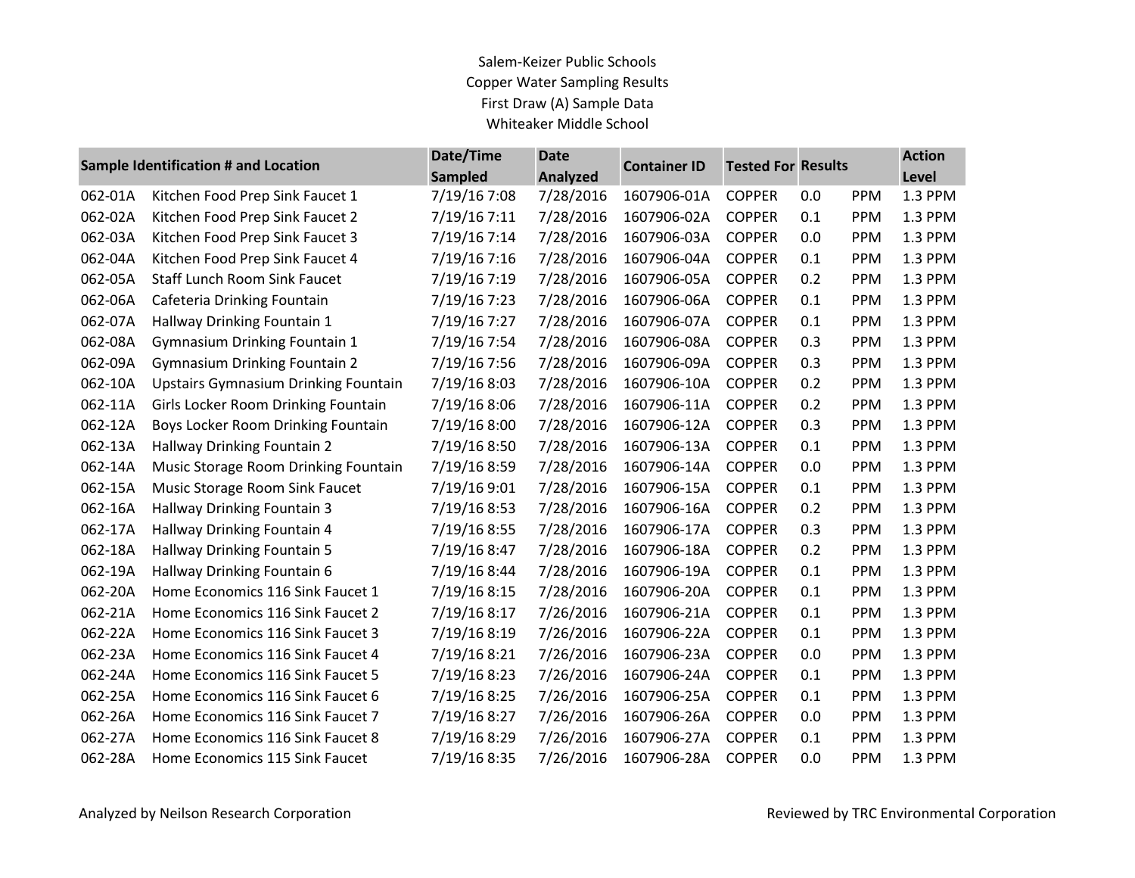## Salem-Keizer Public Schools Copper Water Sampling Results First Draw (A) Sample Data Whiteaker Middle School

| Sample Identification # and Location |                                             | Date/Time      | <b>Date</b>     | <b>Container ID</b> |               | <b>Tested For Results</b> |            | <b>Action</b> |
|--------------------------------------|---------------------------------------------|----------------|-----------------|---------------------|---------------|---------------------------|------------|---------------|
|                                      |                                             | <b>Sampled</b> | <b>Analyzed</b> |                     |               |                           |            | Level         |
| 062-01A                              | Kitchen Food Prep Sink Faucet 1             | 7/19/16 7:08   | 7/28/2016       | 1607906-01A         | <b>COPPER</b> | 0.0                       | <b>PPM</b> | 1.3 PPM       |
| 062-02A                              | Kitchen Food Prep Sink Faucet 2             | 7/19/16 7:11   | 7/28/2016       | 1607906-02A         | <b>COPPER</b> | 0.1                       | PPM        | 1.3 PPM       |
| 062-03A                              | Kitchen Food Prep Sink Faucet 3             | 7/19/16 7:14   | 7/28/2016       | 1607906-03A         | <b>COPPER</b> | 0.0                       | PPM        | 1.3 PPM       |
| 062-04A                              | Kitchen Food Prep Sink Faucet 4             | 7/19/16 7:16   | 7/28/2016       | 1607906-04A         | <b>COPPER</b> | 0.1                       | PPM        | 1.3 PPM       |
| 062-05A                              | <b>Staff Lunch Room Sink Faucet</b>         | 7/19/16 7:19   | 7/28/2016       | 1607906-05A         | <b>COPPER</b> | 0.2                       | <b>PPM</b> | 1.3 PPM       |
| 062-06A                              | Cafeteria Drinking Fountain                 | 7/19/16 7:23   | 7/28/2016       | 1607906-06A         | <b>COPPER</b> | 0.1                       | PPM        | 1.3 PPM       |
| 062-07A                              | Hallway Drinking Fountain 1                 | 7/19/16 7:27   | 7/28/2016       | 1607906-07A         | <b>COPPER</b> | 0.1                       | <b>PPM</b> | 1.3 PPM       |
| 062-08A                              | <b>Gymnasium Drinking Fountain 1</b>        | 7/19/16 7:54   | 7/28/2016       | 1607906-08A         | <b>COPPER</b> | 0.3                       | PPM        | 1.3 PPM       |
| 062-09A                              | <b>Gymnasium Drinking Fountain 2</b>        | 7/19/16 7:56   | 7/28/2016       | 1607906-09A         | <b>COPPER</b> | 0.3                       | PPM        | 1.3 PPM       |
| 062-10A                              | <b>Upstairs Gymnasium Drinking Fountain</b> | 7/19/16 8:03   | 7/28/2016       | 1607906-10A         | <b>COPPER</b> | 0.2                       | PPM        | 1.3 PPM       |
| 062-11A                              | Girls Locker Room Drinking Fountain         | 7/19/16 8:06   | 7/28/2016       | 1607906-11A         | <b>COPPER</b> | 0.2                       | <b>PPM</b> | 1.3 PPM       |
| 062-12A                              | Boys Locker Room Drinking Fountain          | 7/19/16 8:00   | 7/28/2016       | 1607906-12A         | <b>COPPER</b> | 0.3                       | <b>PPM</b> | 1.3 PPM       |
| 062-13A                              | Hallway Drinking Fountain 2                 | 7/19/16 8:50   | 7/28/2016       | 1607906-13A         | <b>COPPER</b> | 0.1                       | <b>PPM</b> | 1.3 PPM       |
| 062-14A                              | Music Storage Room Drinking Fountain        | 7/19/16 8:59   | 7/28/2016       | 1607906-14A         | <b>COPPER</b> | 0.0                       | <b>PPM</b> | 1.3 PPM       |
| 062-15A                              | Music Storage Room Sink Faucet              | 7/19/16 9:01   | 7/28/2016       | 1607906-15A         | <b>COPPER</b> | 0.1                       | <b>PPM</b> | 1.3 PPM       |
| 062-16A                              | Hallway Drinking Fountain 3                 | 7/19/16 8:53   | 7/28/2016       | 1607906-16A         | <b>COPPER</b> | 0.2                       | <b>PPM</b> | 1.3 PPM       |
| 062-17A                              | Hallway Drinking Fountain 4                 | 7/19/16 8:55   | 7/28/2016       | 1607906-17A         | <b>COPPER</b> | 0.3                       | <b>PPM</b> | 1.3 PPM       |
| 062-18A                              | Hallway Drinking Fountain 5                 | 7/19/16 8:47   | 7/28/2016       | 1607906-18A         | <b>COPPER</b> | 0.2                       | PPM        | 1.3 PPM       |
| 062-19A                              | Hallway Drinking Fountain 6                 | 7/19/16 8:44   | 7/28/2016       | 1607906-19A         | <b>COPPER</b> | 0.1                       | <b>PPM</b> | 1.3 PPM       |
| 062-20A                              | Home Economics 116 Sink Faucet 1            | 7/19/16 8:15   | 7/28/2016       | 1607906-20A         | <b>COPPER</b> | 0.1                       | <b>PPM</b> | 1.3 PPM       |
| 062-21A                              | Home Economics 116 Sink Faucet 2            | 7/19/16 8:17   | 7/26/2016       | 1607906-21A         | <b>COPPER</b> | 0.1                       | <b>PPM</b> | 1.3 PPM       |
| 062-22A                              | Home Economics 116 Sink Faucet 3            | 7/19/16 8:19   | 7/26/2016       | 1607906-22A         | <b>COPPER</b> | 0.1                       | PPM        | 1.3 PPM       |
| 062-23A                              | Home Economics 116 Sink Faucet 4            | 7/19/16 8:21   | 7/26/2016       | 1607906-23A         | <b>COPPER</b> | 0.0                       | <b>PPM</b> | 1.3 PPM       |
| 062-24A                              | Home Economics 116 Sink Faucet 5            | 7/19/16 8:23   | 7/26/2016       | 1607906-24A         | <b>COPPER</b> | 0.1                       | <b>PPM</b> | 1.3 PPM       |
| 062-25A                              | Home Economics 116 Sink Faucet 6            | 7/19/16 8:25   | 7/26/2016       | 1607906-25A         | <b>COPPER</b> | 0.1                       | <b>PPM</b> | 1.3 PPM       |
| 062-26A                              | Home Economics 116 Sink Faucet 7            | 7/19/16 8:27   | 7/26/2016       | 1607906-26A         | <b>COPPER</b> | 0.0                       | <b>PPM</b> | 1.3 PPM       |
| 062-27A                              | Home Economics 116 Sink Faucet 8            | 7/19/16 8:29   | 7/26/2016       | 1607906-27A         | <b>COPPER</b> | 0.1                       | <b>PPM</b> | 1.3 PPM       |
| 062-28A                              | Home Economics 115 Sink Faucet              | 7/19/16 8:35   | 7/26/2016       | 1607906-28A         | <b>COPPER</b> | 0.0                       | PPM        | 1.3 PPM       |